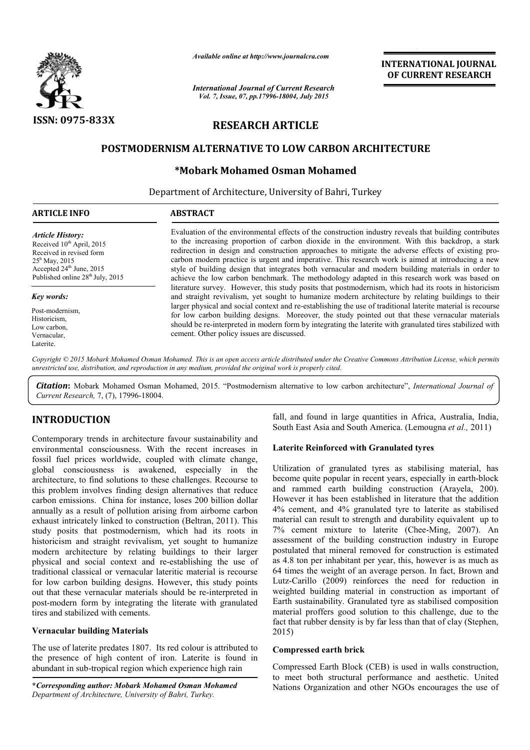

*Available online at http://www.journalcra.com*

*International Journal of Current Research Vol. 7, Issue, 07, pp.17996-18004, July 2015*

**INTERNATIONAL INTERNATIONAL JOURNAL OF CURRENT RESEARCH** 

# **RESEARCH ARTICLE**

# **POSTMODERNISM ALTERNATIVE TO LOW CARBON ARCHITECTURE**

# **\*Mobark Mohamed Osman Mohamed Mobark**

Department of Architecture, University of Bahri, Turkey

| <b>ARTICLE INFO</b>                                                                                                                                                                                            | <b>ABSTRACT</b>                                                                                                                                                                                                                                                                                                                                                                                                                                                                                                                                                                                                           |
|----------------------------------------------------------------------------------------------------------------------------------------------------------------------------------------------------------------|---------------------------------------------------------------------------------------------------------------------------------------------------------------------------------------------------------------------------------------------------------------------------------------------------------------------------------------------------------------------------------------------------------------------------------------------------------------------------------------------------------------------------------------------------------------------------------------------------------------------------|
| <b>Article History:</b><br>Received 10 <sup>th</sup> April, 2015<br>Received in revised form<br>$25^{\rm h}$ May, 2015<br>Accepted 24 <sup>th</sup> June, 2015<br>Published online 28 <sup>th</sup> July, 2015 | Evaluation of the environmental effects of the construction industry reveals that building contributes<br>to the increasing proportion of carbon dioxide in the environment. With this backdrop, a stark<br>redirection in design and construction approaches to mitigate the adverse effects of existing pro-<br>carbon modern practice is urgent and imperative. This research work is aimed at introducing a new<br>style of building design that integrates both vernacular and modern building materials in order to<br>achieve the low carbon benchmark. The methodology adapted in this research work was based on |
| Key words:                                                                                                                                                                                                     | literature survey. However, this study posits that postmodernism, which had its roots in historicism<br>and straight revivalism, yet sought to humanize modern architecture by relating buildings to their                                                                                                                                                                                                                                                                                                                                                                                                                |
| Post-modernism,<br>Historicism,<br>Low carbon,<br>Vernacular,<br>Laterite.                                                                                                                                     | larger physical and social context and re-establishing the use of traditional laterite material is recourse<br>for low carbon building designs. Moreover, the study pointed out that these vernacular materials<br>should be re-interpreted in modern form by integrating the laterite with granulated tires stabilized with<br>cement. Other policy issues are discussed.                                                                                                                                                                                                                                                |

Copyright © 2015 Mobark Mohamed Osman Mohamed. This is an open access article distributed under the Creative Commons Attribution License, which permits *unrestricted use, distribution, and reproduction in any medium, provided the original work is properly cited.*

Citation: Mobark Mohamed Osman Mohamed, 2015. "Postmodernism alternative to low carbon architecture", *International Journal of Current Research,* 7, (7), 17996-18004.

# **INTRODUCTION**

Contemporary trends in architecture favour sustainability and environmental consciousness. With the recent increases in fossil fuel prices worldwide, coupled with climate change, global consciousness is awakened, especially in the architecture, to find solutions to these challenges. Recourse to this problem involves finding design alternatives that reduce carbon emissions. China for instance, loses 200 billion dollar annually as a result of pollution arising from airborne carbon this problem involves finding design alternatives that reduce carbon emissions. China for instance, loses 200 billion dollar annually as a result of pollution arising from airborne carbon exhaust intricately linked to cons study posits that postmodernism, which had its roots in historicism and straight revivalism, yet sought to humanize modern architecture by relating buildings to their larger physical and social context and re-establishing the use of traditional classical or vernacular lateritic material is recourse for low carbon building designs. However, this study points out that these vernacular materials should be re post-modern form by integrating the literate with granulated tires and stabilized with cements. y posits that postmodernism, which had its roots in pricism and straight revivalism, yet sought to humanize lern architecture by relating buildings to their larger sical and social context and re-establishing the use of it

## **Vernacular building Materials**

The use of laterite predates 1807. Its red colour is attributed to the presence of high content of iron. Laterite is found in abundant in sub-tropical region which experience high rain modern form by in<br>and stabilized with a<br>**acular building M**<br>use of laterite predat<br>presence of high c<br>dant in sub-tropical

**\****Corresponding author: Mobark Mohamed Osman Mohamed Department of Architecture, University of Bahri, Turkey Turkey.*

fall, and found in large quantities in Africa, Australia, India, fall, and found in large quantities in Africa, Australia, India, South East Asia and South America. (Lemougna *et al.*, 2011)

## **Laterite Reinforced with Granulated tyres with Granulated tyres**

Utilization of granulated tyres as stabilising material, has Utilization of granulated tyres as stabilising material, has become quite popular in recent years, especially in earth-block and rammed earth building construction (Arayela, 200). However it has been established in literature that the addition 4% cement, and 4% granulated tyre to laterite as stabilised material can result to strength and durability equivalent up to However it has been established in literature that the addition 4% cement, and 4% granulated tyre to laterite as stabilised material can result to strength and durability equivalent up to 7% cement mixture to laterite (Che assessment of the building construction industry in Europe assessment of the building construction industry in Europe postulated that mineral removed for construction is estimated as 4.8 ton per inhabitant per year, this, however is as much as as 4.8 ton per inhabitant per year, this, however is as much as 64 times the weight of an average person. In fact, Brown and Lutz-Carillo (2009) reinforces the need for reduction in Lutz-Carillo (2009) reinforces the need for reduction in weighted building material in construction as important of Earth sustainability. Granulated tyre as stabilised composition material proffers good solution to this challenge, due to the fact that rubber density is by far less than that of clay (Stephen, 2015) Earth sustainability. Granulated tyre as stabilised composition material proffers good solution to this challenge, due to the fact that rubber density is by far less than that of clay (Stephen, INTERNATIONAL JOURNAL OF CURRENT RESEARCH OF CURRENT RESEARCH CHE CONSTRANT CONSTRANT TO THE CONSTRANT IN A STATE STATE INTO A STATE INTO A STATE INTO A STATE INTO A STATE INTO A STATE INTO A STATE INTO A STATE THE reache

### **Compressed earth brick**

Compressed Earth Block (CEB) is used in walls construction, to meet both structural performance and aesthetic. United Nations Organization and other NGOs encourages the use of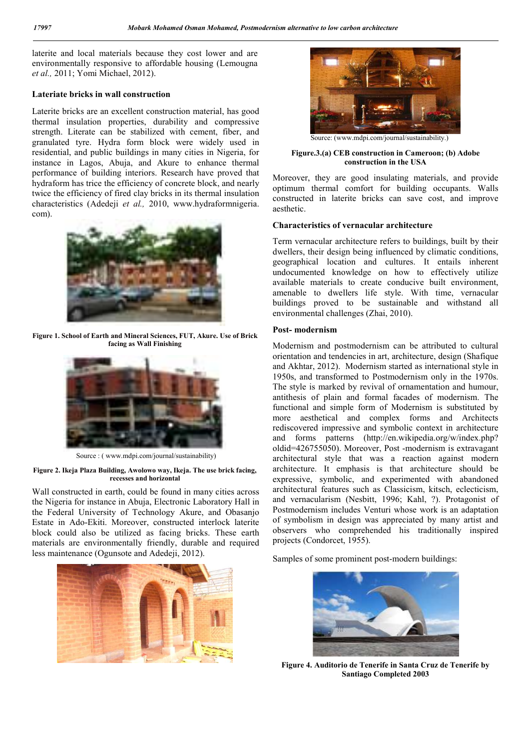laterite and local materials because they cost lower and are environmentally responsive to affordable housing (Lemougna *et al.,* 2011; Yomi Michael, 2012).

### **Lateriate bricks in wall construction**

Laterite bricks are an excellent construction material, has good thermal insulation properties, durability and compressive strength. Literate can be stabilized with cement, fiber, and granulated tyre. Hydra form block were widely used in residential, and public buildings in many cities in Nigeria, for instance in Lagos, Abuja, and Akure to enhance thermal performance of building interiors. Research have proved that hydraform has trice the efficiency of concrete block, and nearly twice the efficiency of fired clay bricks in its thermal insulation characteristics (Adedeji *et al.,* 2010, www.hydraformnigeria. com).



**Figure 1. School of Earth and Mineral Sciences, FUT, Akure. Use of Brick facing as Wall Finishing**



Source : ( www.mdpi.com/journal/sustainability)

#### **Figure 2. Ikeja Plaza Building, Awolowo way, Ikeja. The use brick facing, recesses and horizontal**

Wall constructed in earth, could be found in many cities across the Nigeria for instance in Abuja, Electronic Laboratory Hall in the Federal University of Technology Akure, and Obasanjo Estate in Ado-Ekiti. Moreover, constructed interlock laterite block could also be utilized as facing bricks. These earth materials are environmentally friendly, durable and required less maintenance (Ogunsote and Adedeji, 2012).





Source: (www.mdpi.com/journal/sustainability.)

**Figure.3.(a) CEB construction in Cameroon; (b) Adobe construction in the USA** 

Moreover, they are good insulating materials, and provide optimum thermal comfort for building occupants. Walls constructed in laterite bricks can save cost, and improve aesthetic.

## **Characteristics of vernacular architecture**

Term vernacular architecture refers to buildings, built by their dwellers, their design being influenced by climatic conditions, geographical location and cultures. It entails inherent undocumented knowledge on how to effectively utilize available materials to create conducive built environment, amenable to dwellers life style. With time, vernacular buildings proved to be sustainable and withstand all environmental challenges (Zhai, 2010).

## **Post- modernism**

Modernism and postmodernism can be attributed to cultural orientation and tendencies in art, architecture, design (Shafique and Akhtar, 2012). Modernism started as international style in 1950s, and transformed to Postmodernism only in the 1970s. The style is marked by revival of ornamentation and humour, antithesis of plain and formal facades of modernism. The functional and simple form of Modernism is substituted by more aesthetical and complex forms and Architects rediscovered impressive and symbolic context in architecture and forms patterns (http://en.wikipedia.org/w/index.php? oldid=426755050). Moreover, Post -modernism is extravagant architectural style that was a reaction against modern architecture. It emphasis is that architecture should be expressive, symbolic, and experimented with abandoned architectural features such as Classicism, kitsch, eclecticism, and vernacularism (Nesbitt, 1996; Kahl, ?). Protagonist of Postmodernism includes Venturi whose work is an adaptation of symbolism in design was appreciated by many artist and observers who comprehended his traditionally inspired projects (Condorcet, 1955).

Samples of some prominent post-modern buildings:



**Figure 4. Auditorio de Tenerife in Santa Cruz de Tenerife by Santiago Completed 2003**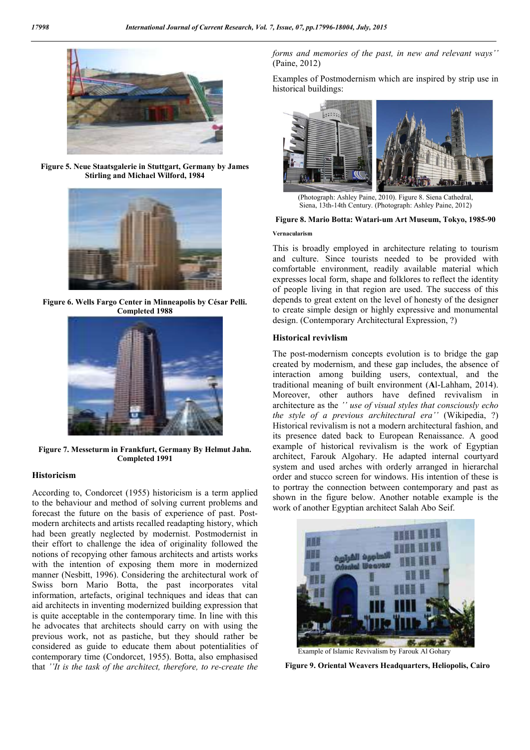

**Figure 5. Neue Staatsgalerie in Stuttgart, Germany by James Stirling and Michael Wilford, 1984**



**Figure 6. Wells Fargo Center in Minneapolis by César Pelli. Completed 1988**



**Figure 7. Messeturm in Frankfurt, Germany By Helmut Jahn. Completed 1991**

### **Historicism**

According to, Condorcet (1955) historicism is a term applied to the behaviour and method of solving current problems and forecast the future on the basis of experience of past. Postmodern architects and artists recalled readapting history, which had been greatly neglected by modernist. Postmodernist in their effort to challenge the idea of originality followed the notions of recopying other famous architects and artists works with the intention of exposing them more in modernized manner (Nesbitt, 1996). Considering the architectural work of Swiss born Mario Botta, the past incorporates vital information, artefacts, original techniques and ideas that can aid architects in inventing modernized building expression that is quite acceptable in the contemporary time. In line with this he advocates that architects should carry on with using the previous work, not as pastiche, but they should rather be considered as guide to educate them about potentialities of contemporary time (Condorcet, 1955). Botta, also emphasised that *''It is the task of the architect, therefore, to re-create the*  *forms and memories of the past, in new and relevant ways''* (Paine, 2012)

Examples of Postmodernism which are inspired by strip use in historical buildings:



(Photograph: Ashley Paine, 2010). Figure 8. Siena Cathedral, Siena, 13th-14th Century. (Photograph: Ashley Paine, 2012)

## **Figure 8. Mario Botta: Watari-um Art Museum, Tokyo, 1985-90**

## **Vernacularism**

This is broadly employed in architecture relating to tourism and culture. Since tourists needed to be provided with comfortable environment, readily available material which expresses local form, shape and folklores to reflect the identity of people living in that region are used. The success of this depends to great extent on the level of honesty of the designer to create simple design or highly expressive and monumental design. (Contemporary Architectural Expression, ?)

#### **Historical revivlism**

The post-modernism concepts evolution is to bridge the gap created by modernism, and these gap includes, the absence of interaction among building users, contextual, and the traditional meaning of built environment (**A**l-Lahham, 2014). Moreover, other authors have defined revivalism in architecture as the *'' use of visual styles that consciously echo the style of a previous architectural era''* (Wikipedia, ?) Historical revivalism is not a modern architectural fashion, and its presence dated back to European Renaissance. A good example of historical revivalism is the work of Egyptian architect, Farouk Algohary. He adapted internal courtyard system and used arches with orderly arranged in hierarchal order and stucco screen for windows. His intention of these is to portray the connection between contemporary and past as shown in the figure below. Another notable example is the work of another Egyptian architect Salah Abo Seif.



Example of Islamic Revivalism by Farouk Al Gohary

 **Figure 9. Oriental Weavers Headquarters, Heliopolis, Cairo**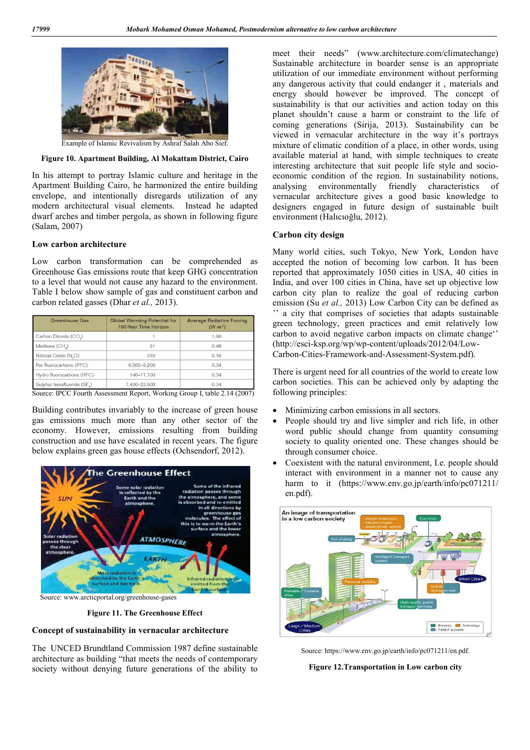

Example of Islamic Revivalism by Ashraf Salah Abo Sief.

#### **Figure 10. Apartment Building, Al Mokattam District, Cairo**

In his attempt to portray Islamic culture and heritage in the Apartment Building Cairo, he harmonized the entire building envelope, and intentionally disregards utilization of any modern architectural visual elements. Instead he adapted dwarf arches and timber pergola, as shown in following figure (Salam, 2007)

### **Low carbon architecture**

Low carbon transformation can be comprehended as Greenhouse Gas emissions route that keep GHG concentration to a level that would not cause any hazard to the environment. Table I below show sample of gas and constituent carbon and carbon related gasses (Dhar *et al.,* 2013).

| <b>Global Warming Potential for</b><br>100-Year Time Horizon | <b>Average Radiative Forcing</b><br>(W m <sup>2</sup> ) |
|--------------------------------------------------------------|---------------------------------------------------------|
|                                                              | 1.66                                                    |
| 21                                                           | 0.48                                                    |
| 310                                                          | 0.16                                                    |
| 6.500-9.200                                                  | 0.34                                                    |
| 140-11.700                                                   | 0.34                                                    |
| 7,400-23,900                                                 | 0.34                                                    |
|                                                              |                                                         |

Source: IPCC Fourth Assessment Report, Working Group I, table 2.14 (2007)

Building contributes invariably to the increase of green house gas emissions much more than any other sector of the economy. However, emissions resulting from building construction and use have escalated in recent years. The figure below explains green gas house effects (Ochsendorf, 2012).



**Figure 11. The Greenhouse Effect**

#### **Concept of sustainability in vernacular architecture**

The UNCED Brundtland Commission 1987 define sustainable architecture as building "that meets the needs of contemporary society without denying future generations of the ability to meet their needs" (www.architecture.com/climatechange) Sustainable architecture in boarder sense is an appropriate utilization of our immediate environment without performing any dangerous activity that could endanger it , materials and energy should however be improved. The concept of sustainability is that our activities and action today on this planet shouldn't cause a harm or constraint to the life of coming generations (Sirija, 2013). Sustainability can be viewed in vernacular architecture in the way it's portrays mixture of climatic condition of a place, in other words, using available material at hand, with simple techniques to create interesting architecture that suit people life style and socioeconomic condition of the region. In sustainability notions, analysing environmentally friendly characteristics of vernacular architecture gives a good basic knowledge to designers engaged in future design of sustainable built environment (Halıcıoğlu, 2012).

#### **Carbon city design**

Many world cities, such Tokyo, New York, London have accepted the notion of becoming low carbon. It has been reported that approximately 1050 cities in USA, 40 cities in India, and over 100 cities in China, have set up objective low carbon city plan to realize the goal of reducing carbon emission (Su *et al.,* 2013) Low Carbon City can be defined as '' a city that comprises of societies that adapts sustainable green technology, green practices and emit relatively low carbon to avoid negative carbon impacts on climate change'' (http://esci-ksp.org/wp/wp-content/uploads/2012/04/Low-Carbon-Cities-Framework-and-Assessment-System.pdf).

There is urgent need for all countries of the world to create low carbon societies. This can be achieved only by adapting the following principles:

- Minimizing carbon emissions in all sectors.
- People should try and live simpler and rich life, in other word public should change from quantity consuming society to quality oriented one. These changes should be through consumer choice.
- Coexistent with the natural environment, I.e. people should interact with environment in a manner not to cause any harm to it (https://www.env.go.jp/earth/info/pc071211/ en.pdf).



Source: https://www.env.go.jp/earth/info/pc071211/en.pdf.

**Figure 12.Transportation in Low carbon city**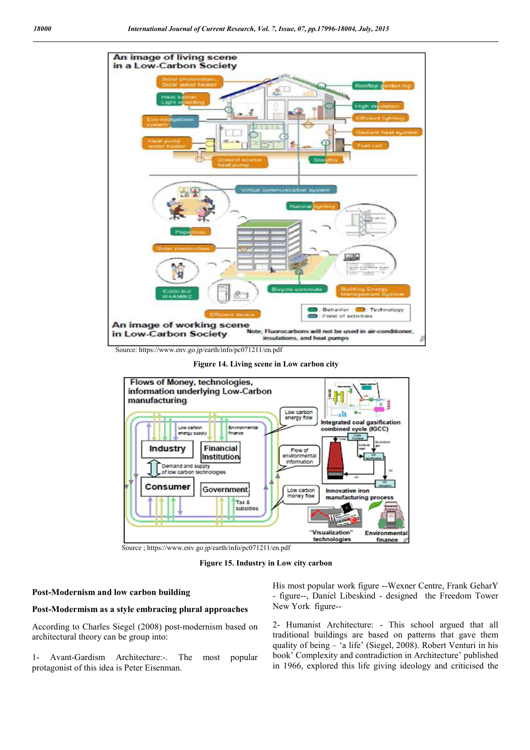

Source: https://www.env.go.jp/earth/info/pc071211/en.pdf

**Figure 14. Living scene in Low carbon city**



Source ; https://www.env.go.jp/earth/info/pc071211/en.pdf

**Figure 15. Industry in Low city carbon**

### **Post-Modernism and low carbon building**

## **Post-Modermism as a style embracing plural approaches**

According to Charles Siegel (2008) post-modernism based on architectural theory can be group into:

1- Avant-Gardism Architecture:-. The most popular protagonist of this idea is Peter Eisenman.

His most popular work figure --Wexner Centre, Frank GeharY - figure--, Daniel Libeskind - designed the Freedom Tower New York figure--

2- Humanist Architecture: - This school argued that all traditional buildings are based on patterns that gave them quality of being – 'a life' (Siegel, 2008). Robert Venturi in his book' Complexity and contradiction in Architecture' published in 1966, explored this life giving ideology and criticised the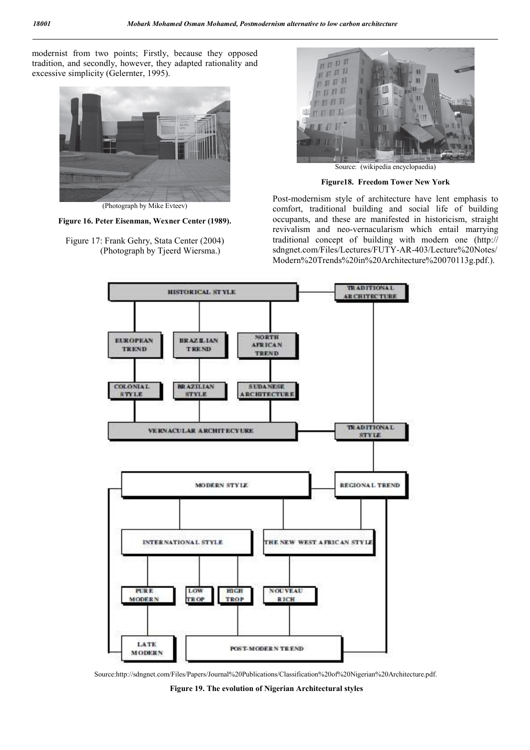modernist from two points; Firstly, because they opposed tradition, and secondly, however, they adapted rationality and excessive simplicity (Gelernter, 1995).



(Photograph by Mike Evteev)

**Figure 16. Peter Eisenman, Wexner Center (1989).** 

Figure 17: Frank Gehry, Stata Center (2004) (Photograph by Tjeerd Wiersma.)



Source: (wikipedia encyclopaedia)

**Figure18. Freedom Tower New York**

Post-modernism style of architecture have lent emphasis to comfort, traditional building and social life of building occupants, and these are manifested in historicism, straight revivalism and neo-vernacularism which entail marrying traditional concept of building with modern one (http:// sdngnet.com/Files/Lectures/FUTY-AR-403/Lecture%20Notes/ Modern%20Trends%20in%20Architecture%20070113g.pdf.).



Source:http://sdngnet.com/Files/Papers/Journal%20Publications/Classification%20of%20Nigerian%20Architecture.pdf.

**Figure 19. The evolution of Nigerian Architectural styles**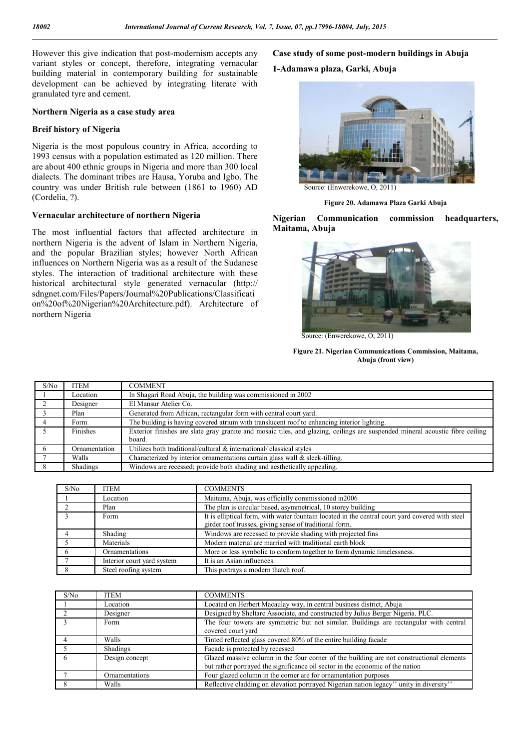However this give indication that post-modernism accepts any variant styles or concept, therefore, integrating vernacular building material in contemporary building for sustainable development can be achieved by integrating literate with granulated tyre and cement.

### **Northern Nigeria as a case study area**

#### **Breif history of Nigeria**

Nigeria is the most populous country in Africa, according to 1993 census with a population estimated as 120 million. There are about 400 ethnic groups in Nigeria and more than 300 local dialects. The dominant tribes are Hausa, Yoruba and Igbo. The country was under British rule between (1861 to 1960) AD (Cordelia, ?).

## **Vernacular architecture of northern Nigeria**

The most influential factors that affected architecture in northern Nigeria is the advent of Islam in Northern Nigeria, and the popular Brazilian styles; however North African influences on Northern Nigeria was as a result of the Sudanese styles. The interaction of traditional architecture with these historical architectural style generated vernacular (http:// sdngnet.com/Files/Papers/Journal%20Publications/Classificati on%20of%20Nigerian%20Architecture.pdf). Architecture of northern Nigeria

**Case study of some post-modern buildings in Abuja 1-Adamawa plaza, Garki, Abuja**



**Figure 20. Adamawa Plaza Garki Abuja**

**Nigerian Communication commission headquarters, Maitama, Abuja**



Source: (Enwerekowe, O, 2011)

#### **Figure 21. Nigerian Communications Commission, Maitama, Abuja (front view)**

| S/N <sub>0</sub> | <b>ITEM</b>   | COMMENT                                                                                                                       |
|------------------|---------------|-------------------------------------------------------------------------------------------------------------------------------|
|                  |               |                                                                                                                               |
|                  | Location      | In Shagari Road Abuja, the building was commissioned in 2002                                                                  |
|                  | Designer      | El Mansur Atelier Co.                                                                                                         |
|                  | Plan          | Generated from African, rectangular form with central court yard.                                                             |
|                  | Form          | The building is having covered atrium with translucent roof to enhancing interior lighting.                                   |
|                  | Finishes      | Exterior finishes are slate gray granite and mosaic tiles, and glazing, ceilings are suspended mineral acoustic fibre ceiling |
|                  |               | board.                                                                                                                        |
|                  | Ornamentation | Utilizes both traditional/cultural & international/classical styles                                                           |
|                  | Walls         | Characterized by interior ornamentations curtain glass wall & sleek-tilling.                                                  |
|                  | Shadings      | Windows are recessed; provide both shading and aesthetically appealing.                                                       |

| S/N <sub>0</sub> | <b>ITEM</b>                | <b>COMMENTS</b>                                                                                 |
|------------------|----------------------------|-------------------------------------------------------------------------------------------------|
|                  | Location                   | Maitama, Abuja, was officially commissioned in 2006                                             |
|                  | Plan                       | The plan is circular based, asymmetrical, 10 storey building                                    |
|                  | Form                       | It is elliptical form, with water fountain located in the central court vard covered with steel |
|                  |                            | girder roof trusses, giving sense of traditional form.                                          |
|                  | Shading                    | Windows are recessed to provide shading with projected fins                                     |
|                  | Materials                  | Modern material are married with traditional earth block                                        |
|                  | Ornamentations             | More or less symbolic to conform together to form dynamic timelessness.                         |
|                  | Interior court yard system | It is an Asian influences.                                                                      |
|                  | Steel roofing system       | This portrays a modern thatch roof.                                                             |

| S/N <sub>0</sub> | ITEM           | <b>COMMENTS</b>                                                                                                                                                            |
|------------------|----------------|----------------------------------------------------------------------------------------------------------------------------------------------------------------------------|
|                  | Location       | Located on Herbert Macaulay way, in central business district, Abuja                                                                                                       |
|                  | Designer       | Designed by Sheltarc Associate, and constructed by Julius Berger Nigeria. PLC.                                                                                             |
|                  | Form           | The four towers are symmetric but not similar. Buildings are rectangular with central<br>covered court yard                                                                |
|                  | Walls          | Tinted reflected glass covered 80% of the entire building facade                                                                                                           |
|                  | Shadings       | Facade is protected by recessed                                                                                                                                            |
| 6                | Design concept | Glazed massive column in the four corner of the building are not constructional elements<br>but rather portrayed the significance oil sector in the economic of the nation |
|                  | Ornamentations | Four glazed column in the corner are for ornamentation purposes                                                                                                            |
|                  | Walls          | Reflective cladding on elevation portrayed Nigerian nation legacy" unity in diversity"                                                                                     |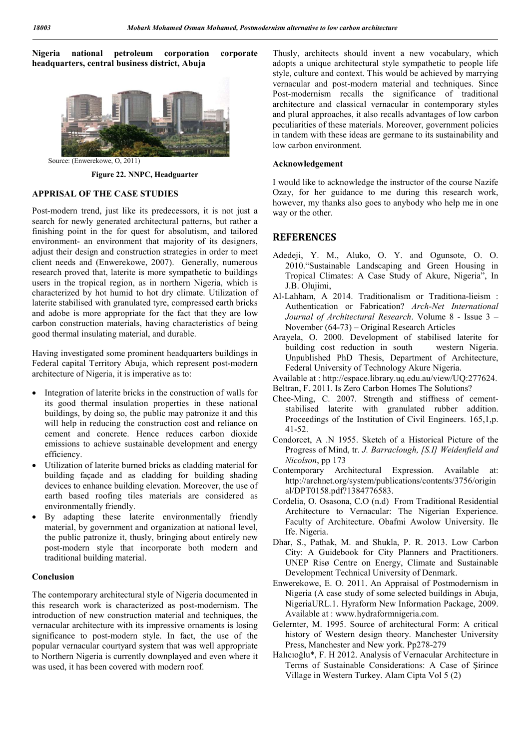**Nigeria national petroleum corporation corporate headquarters, central business district, Abuja**



Source: (Enwerekowe, O, 2011)

**Figure 22. NNPC, Headguarter**

## **APPRISAL OF THE CASE STUDIES**

Post-modern trend, just like its predecessors, it is not just a search for newly generated architectural patterns, but rather a finishing point in the for quest for absolutism, and tailored environment- an environment that majority of its designers, adjust their design and construction strategies in order to meet client needs and (Enwerekowe, 2007). Generally, numerous research proved that, laterite is more sympathetic to buildings users in the tropical region, as in northern Nigeria, which is characterized by hot humid to hot dry climate. Utilization of laterite stabilised with granulated tyre, compressed earth bricks and adobe is more appropriate for the fact that they are low carbon construction materials, having characteristics of being good thermal insulating material, and durable.

Having investigated some prominent headquarters buildings in Federal capital Territory Abuja, which represent post-modern architecture of Nigeria, it is imperative as to:

- Integration of laterite bricks in the construction of walls for its good thermal insulation properties in these national buildings, by doing so, the public may patronize it and this will help in reducing the construction cost and reliance on cement and concrete. Hence reduces carbon dioxide emissions to achieve sustainable development and energy efficiency.
- Utilization of laterite burned bricks as cladding material for building façade and as cladding for building shading devices to enhance building elevation. Moreover, the use of earth based roofing tiles materials are considered as environmentally friendly.
- By adapting these laterite environmentally friendly material, by government and organization at national level, the public patronize it, thusly, bringing about entirely new post-modern style that incorporate both modern and traditional building material.

#### **Conclusion**

The contemporary architectural style of Nigeria documented in this research work is characterized as post-modernism. The introduction of new construction material and techniques, the vernacular architecture with its impressive ornaments is losing significance to post-modern style. In fact, the use of the popular vernacular courtyard system that was well appropriate to Northern Nigeria is currently downplayed and even where it was used, it has been covered with modern roof.

Thusly, architects should invent a new vocabulary, which adopts a unique architectural style sympathetic to people life style, culture and context. This would be achieved by marrying vernacular and post-modern material and techniques. Since Post-modernism recalls the significance of traditional architecture and classical vernacular in contemporary styles and plural approaches, it also recalls advantages of low carbon peculiarities of these materials. Moreover, government policies in tandem with these ideas are germane to its sustainability and low carbon environment.

#### **Acknowledgement**

I would like to acknowledge the instructor of the course Nazife Ozay, for her guidance to me during this research work, however, my thanks also goes to anybody who help me in one way or the other.

## **REFERENCES**

- Adedeji, Y. M., Aluko, O. Y. and Ogunsote, O. O. 2010."Sustainable Landscaping and Green Housing in Tropical Climates: A Case Study of Akure, Nigeria", In J.B. Olujimi,
- Al-Lahham, A 2014. Traditionalism or Traditiona-lieism : Authentication or Fabrication? *Arch-Net International Journal of Architectural Research*. Volume 8 - Issue 3 – November (64-73) – Original Research Articles
- Arayela, O. 2000. Development of stabilised laterite for building cost reduction in south western Nigeria. Unpublished PhD Thesis, Department of Architecture, Federal University of Technology Akure Nigeria.
- Available at : http://espace.library.uq.edu.au/view/UQ:277624.
- Beltran, F. 2011. Is Zero Carbon Homes The Solutions?
- Chee-Ming, C. 2007. Strength and stiffness of cementstabilised laterite with granulated rubber addition. Proceedings of the Institution of Civil Engineers. 165,1,p. 41-52.
- Condorcet, A .N 1955. Sketch of a Historical Picture of the Progress of Mind, tr. *J. Barraclough, [S.I] Weidenfield and Nicolson*, pp 173
- Contemporary Architectural Expression. Available at: http://archnet.org/system/publications/contents/3756/origin al/DPT0158.pdf?1384776583.
- Cordelia, O. Osasona, C.O (n.d) From Traditional Residential Architecture to Vernacular: The Nigerian Experience. Faculty of Architecture. Obafmi Awolow University. Ile Ife. Nigeria.
- Dhar, S., Pathak, M. and Shukla, P. R. 2013. Low Carbon City: A Guidebook for City Planners and Practitioners. UNEP Risø Centre on Energy, Climate and Sustainable Development Technical University of Denmark.
- Enwerekowe, E. O. 2011. An Appraisal of Postmodernism in Nigeria (A case study of some selected buildings in Abuja, NigeriaURL.1. Hyraform New Information Package, 2009. Available at : www.hydraformnigeria.com.
- Gelernter, M. 1995. Source of architectural Form: A critical history of Western design theory. Manchester University Press, Manchester and New york. Pp278-279
- Halıcıoğlu\*, F. H 2012. Analysis of Vernacular Architecture in Terms of Sustainable Considerations: A Case of Şirince Village in Western Turkey. Alam Cipta Vol 5 (2)